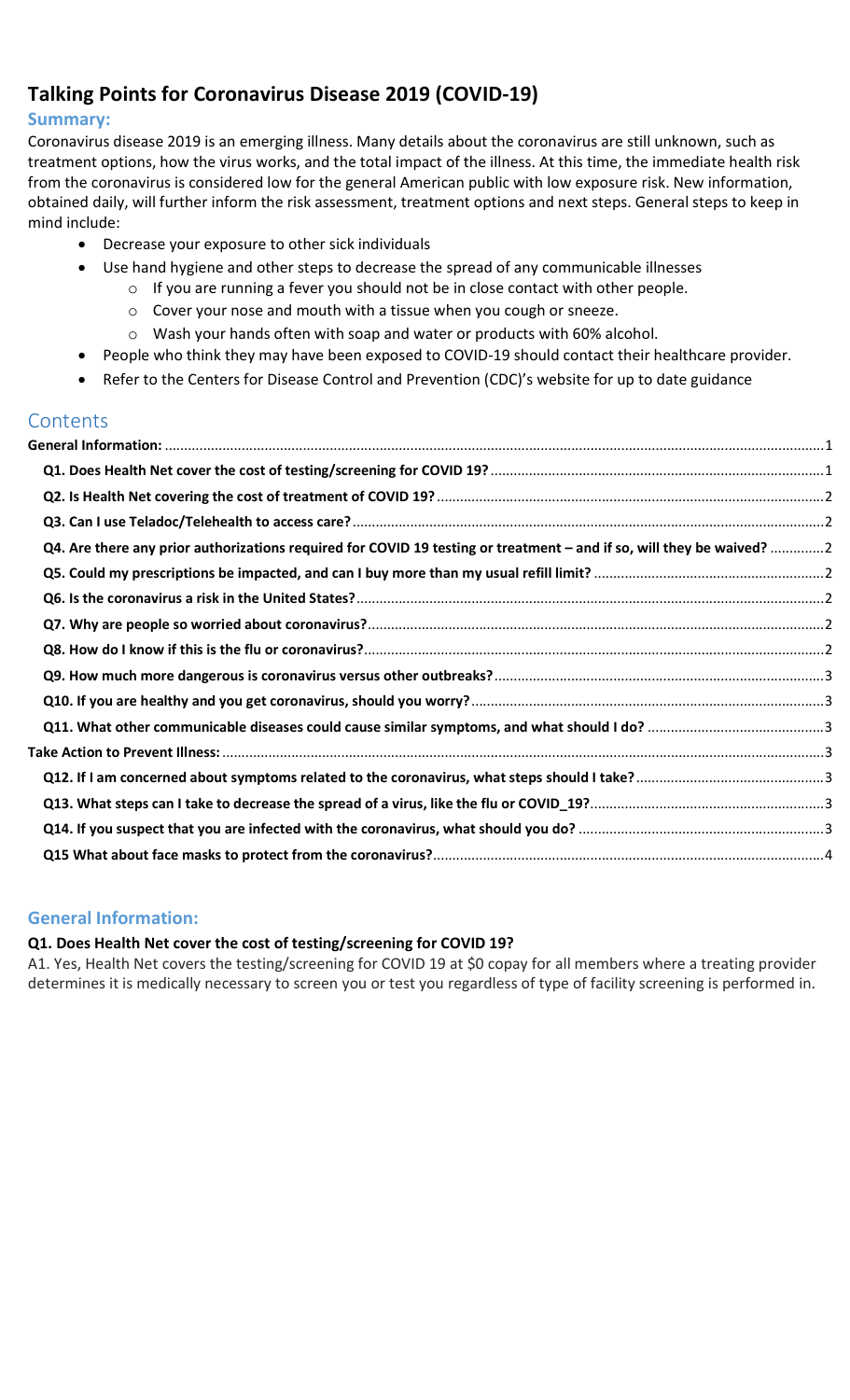# Talking Points for Coronavirus Disease 2019 (COVID-19)

## Summary:

Coronavirus disease 2019 is an emerging illness. Many details about the coronavirus are still unknown, such as treatment options, how the virus works, and the total impact of the illness. At this time, the immediate health risk from the coronavirus is considered low for the general American public with low exposure risk. New information, obtained daily, will further inform the risk assessment, treatment options and next steps. General steps to keep in mind include:

- Decrease your exposure to other sick individuals
- Use hand hygiene and other steps to decrease the spread of any communicable illnesses
	- $\circ$  If you are running a fever you should not be in close contact with other people.
	- o Cover your nose and mouth with a tissue when you cough or sneeze.
	- o Wash your hands often with soap and water or products with 60% alcohol.
- People who think they may have been exposed to COVID-19 should contact their healthcare provider.
- Refer to the Centers for Disease Control and Prevention (CDC)'s website for up to date guidance

# **Contents**

| Q4. Are there any prior authorizations required for COVID 19 testing or treatment – and if so, will they be waived? 2 |  |
|-----------------------------------------------------------------------------------------------------------------------|--|
|                                                                                                                       |  |
|                                                                                                                       |  |
|                                                                                                                       |  |
|                                                                                                                       |  |
|                                                                                                                       |  |
|                                                                                                                       |  |
|                                                                                                                       |  |
|                                                                                                                       |  |
|                                                                                                                       |  |
|                                                                                                                       |  |
|                                                                                                                       |  |
|                                                                                                                       |  |

#### General Information:

#### Q1. Does Health Net cover the cost of testing/screening for COVID 19?

A1. Yes, Health Net covers the testing/screening for COVID 19 at \$0 copay for all members where a treating provider determines it is medically necessary to screen you or test you regardless of type of facility screening is performed in.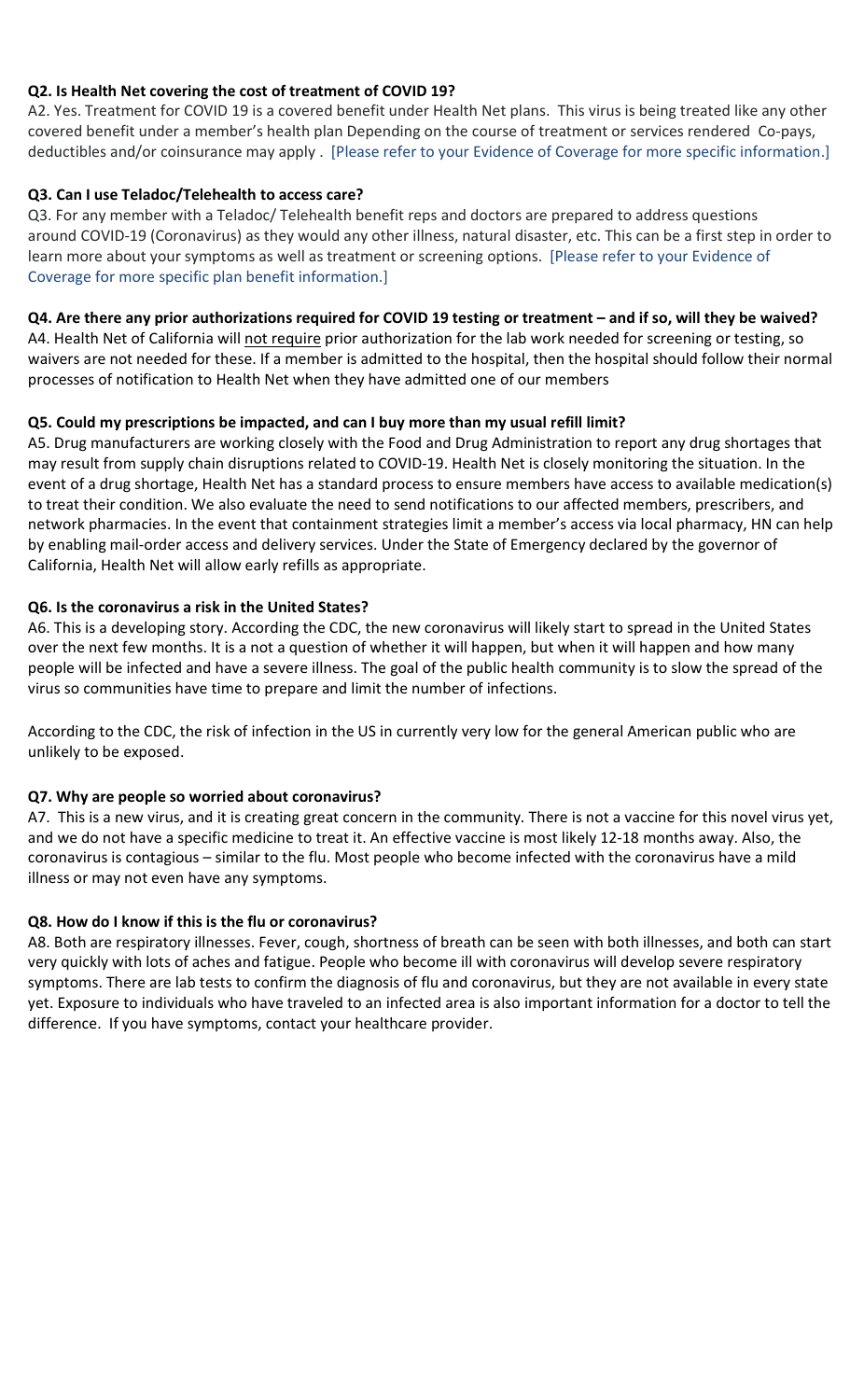### Q2. Is Health Net covering the cost of treatment of COVID 19?

A2. Yes. Treatment for COVID 19 is a covered benefit under Health Net plans. This virus is being treated like any other covered benefit under a member's health plan Depending on the course of treatment or services rendered Co-pays, deductibles and/or coinsurance may apply . [Please refer to your Evidence of Coverage for more specific information.]

#### Q3. Can I use Teladoc/Telehealth to access care?

Q3. For any member with a Teladoc/ Telehealth benefit reps and doctors are prepared to address questions around COVID-19 (Coronavirus) as they would any other illness, natural disaster, etc. This can be a first step in order to learn more about your symptoms as well as treatment or screening options. [Please refer to your Evidence of Coverage for more specific plan benefit information.]

#### Q4. Are there any prior authorizations required for COVID 19 testing or treatment – and if so, will they be waived?

A4. Health Net of California will not require prior authorization for the lab work needed for screening or testing, so waivers are not needed for these. If a member is admitted to the hospital, then the hospital should follow their normal processes of notification to Health Net when they have admitted one of our members

#### Q5. Could my prescriptions be impacted, and can I buy more than my usual refill limit?

A5. Drug manufacturers are working closely with the Food and Drug Administration to report any drug shortages that may result from supply chain disruptions related to COVID-19. Health Net is closely monitoring the situation. In the event of a drug shortage, Health Net has a standard process to ensure members have access to available medication(s) to treat their condition. We also evaluate the need to send notifications to our affected members, prescribers, and network pharmacies. In the event that containment strategies limit a member's access via local pharmacy, HN can help by enabling mail-order access and delivery services. Under the State of Emergency declared by the governor of California, Health Net will allow early refills as appropriate.

#### Q6. Is the coronavirus a risk in the United States?

A6. This is a developing story. According the CDC, the new coronavirus will likely start to spread in the United States over the next few months. It is a not a question of whether it will happen, but when it will happen and how many people will be infected and have a severe illness. The goal of the public health community is to slow the spread of the virus so communities have time to prepare and limit the number of infections.

According to the CDC, the risk of infection in the US in currently very low for the general American public who are unlikely to be exposed.

#### Q7. Why are people so worried about coronavirus?

A7. This is a new virus, and it is creating great concern in the community. There is not a vaccine for this novel virus yet, and we do not have a specific medicine to treat it. An effective vaccine is most likely 12-18 months away. Also, the coronavirus is contagious – similar to the flu. Most people who become infected with the coronavirus have a mild illness or may not even have any symptoms.

#### Q8. How do I know if this is the flu or coronavirus?

A8. Both are respiratory illnesses. Fever, cough, shortness of breath can be seen with both illnesses, and both can start very quickly with lots of aches and fatigue. People who become ill with coronavirus will develop severe respiratory symptoms. There are lab tests to confirm the diagnosis of flu and coronavirus, but they are not available in every state yet. Exposure to individuals who have traveled to an infected area is also important information for a doctor to tell the difference. If you have symptoms, contact your healthcare provider.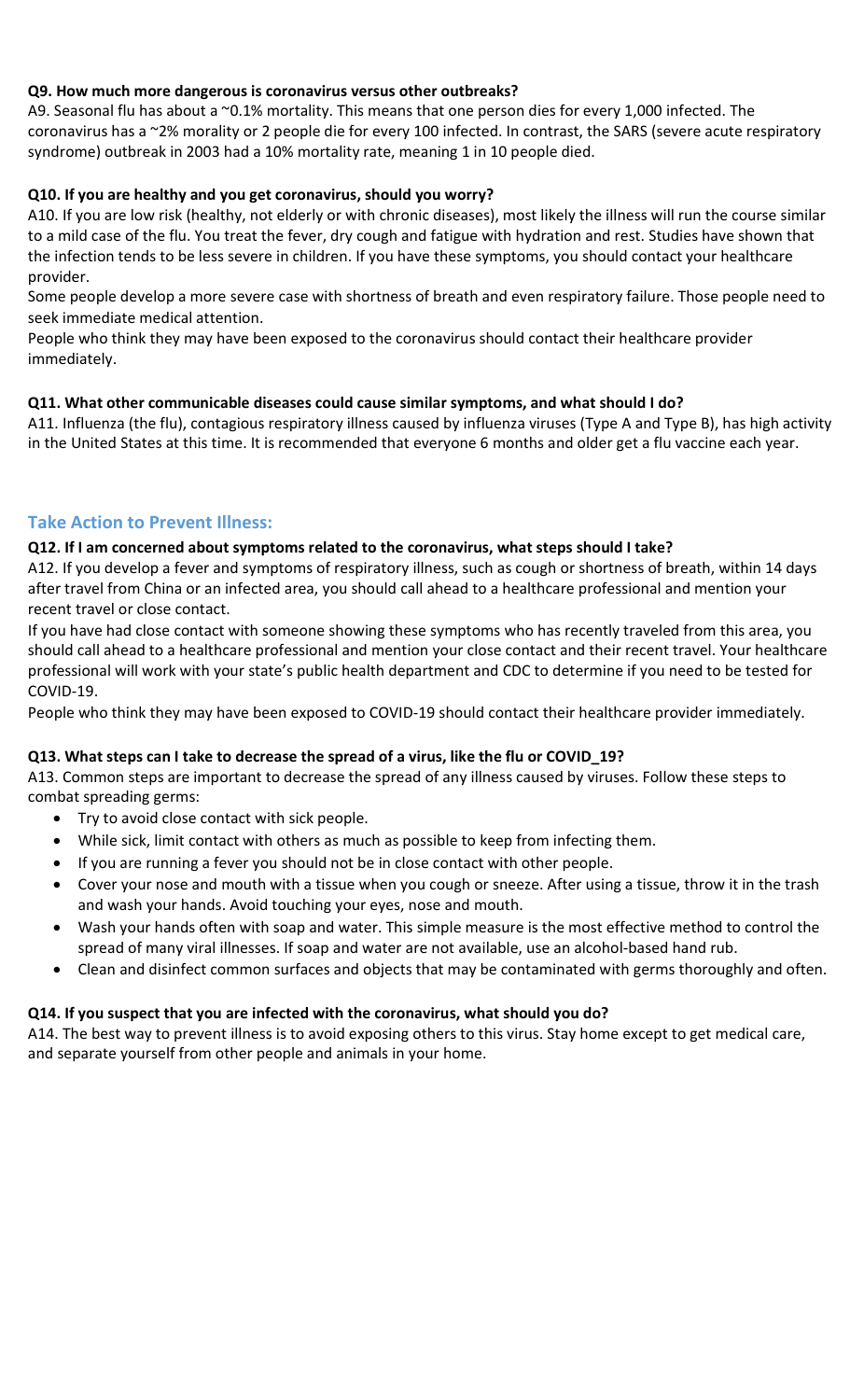### Q9. How much more dangerous is coronavirus versus other outbreaks?

A9. Seasonal flu has about a ~0.1% mortality. This means that one person dies for every 1,000 infected. The coronavirus has a ~2% morality or 2 people die for every 100 infected. In contrast, the SARS (severe acute respiratory syndrome) outbreak in 2003 had a 10% mortality rate, meaning 1 in 10 people died.

### Q10. If you are healthy and you get coronavirus, should you worry?

A10. If you are low risk (healthy, not elderly or with chronic diseases), most likely the illness will run the course similar to a mild case of the flu. You treat the fever, dry cough and fatigue with hydration and rest. Studies have shown that the infection tends to be less severe in children. If you have these symptoms, you should contact your healthcare provider.

Some people develop a more severe case with shortness of breath and even respiratory failure. Those people need to seek immediate medical attention.

People who think they may have been exposed to the coronavirus should contact their healthcare provider immediately.

#### Q11. What other communicable diseases could cause similar symptoms, and what should I do?

A11. Influenza (the flu), contagious respiratory illness caused by influenza viruses (Type A and Type B), has high activity in the United States at this time. It is recommended that everyone 6 months and older get a flu vaccine each year.

## Take Action to Prevent Illness:

#### Q12. If I am concerned about symptoms related to the coronavirus, what steps should I take?

A12. If you develop a fever and symptoms of respiratory illness, such as cough or shortness of breath, within 14 days after travel from China or an infected area, you should call ahead to a healthcare professional and mention your recent travel or close contact.

If you have had close contact with someone showing these symptoms who has recently traveled from this area, you should call ahead to a healthcare professional and mention your close contact and their recent travel. Your healthcare professional will work with your state's public health department and CDC to determine if you need to be tested for COVID-19.

People who think they may have been exposed to COVID-19 should contact their healthcare provider immediately.

#### Q13. What steps can I take to decrease the spread of a virus, like the flu or COVID\_19?

A13. Common steps are important to decrease the spread of any illness caused by viruses. Follow these steps to combat spreading germs:

- Try to avoid close contact with sick people.
- While sick, limit contact with others as much as possible to keep from infecting them.
- If you are running a fever you should not be in close contact with other people.
- Cover your nose and mouth with a tissue when you cough or sneeze. After using a tissue, throw it in the trash and wash your hands. Avoid touching your eyes, nose and mouth.
- Wash your hands often with soap and water. This simple measure is the most effective method to control the spread of many viral illnesses. If soap and water are not available, use an alcohol-based hand rub.
- Clean and disinfect common surfaces and objects that may be contaminated with germs thoroughly and often.

#### Q14. If you suspect that you are infected with the coronavirus, what should you do?

A14. The best way to prevent illness is to avoid exposing others to this virus. Stay home except to get medical care, and separate yourself from other people and animals in your home.